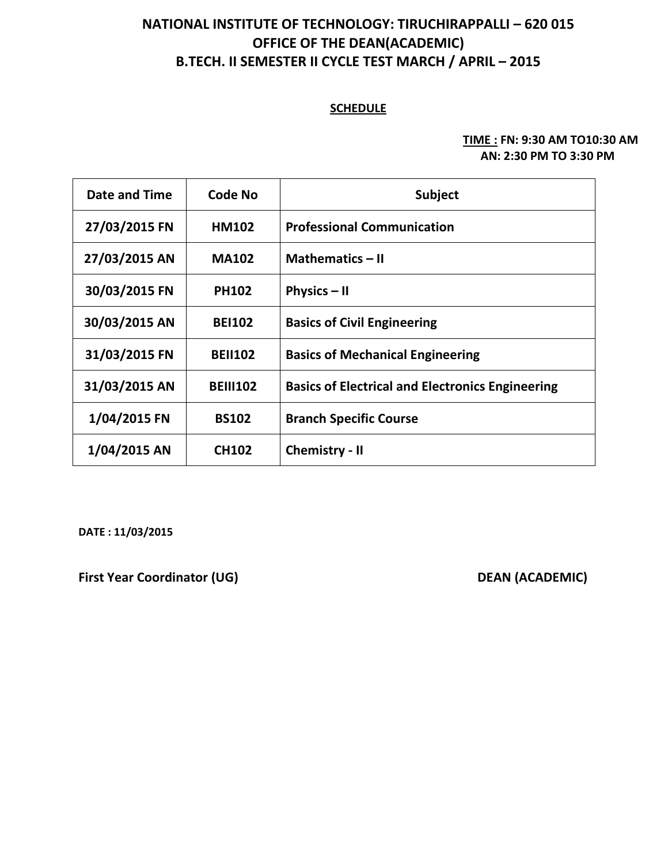# **NATIONAL INSTITUTE OF TECHNOLOGY: TIRUCHIRAPPALLI – 620 015 OFFICE OF THE DEAN(ACADEMIC) B.TECH. II SEMESTER II CYCLE TEST MARCH / APRIL – 2015**

### **SCHEDULE**

#### **TIME : FN: 9:30 AM TO10:30 AM AN: 2:30 PM TO 3:30 PM**

| Date and Time | Code No         | <b>Subject</b>                                          |
|---------------|-----------------|---------------------------------------------------------|
| 27/03/2015 FN | <b>HM102</b>    | <b>Professional Communication</b>                       |
| 27/03/2015 AN | <b>MA102</b>    | <b>Mathematics - II</b>                                 |
| 30/03/2015 FN | <b>PH102</b>    | Physics $-$ II                                          |
| 30/03/2015 AN | <b>BEI102</b>   | <b>Basics of Civil Engineering</b>                      |
| 31/03/2015 FN | <b>BEII102</b>  | <b>Basics of Mechanical Engineering</b>                 |
| 31/03/2015 AN | <b>BEIII102</b> | <b>Basics of Electrical and Electronics Engineering</b> |
| 1/04/2015 FN  | <b>BS102</b>    | <b>Branch Specific Course</b>                           |
| 1/04/2015 AN  | <b>CH102</b>    | <b>Chemistry - II</b>                                   |

**DATE : 11/03/2015**

**First Year Coordinator (UG)** DEAN (ACADEMIC)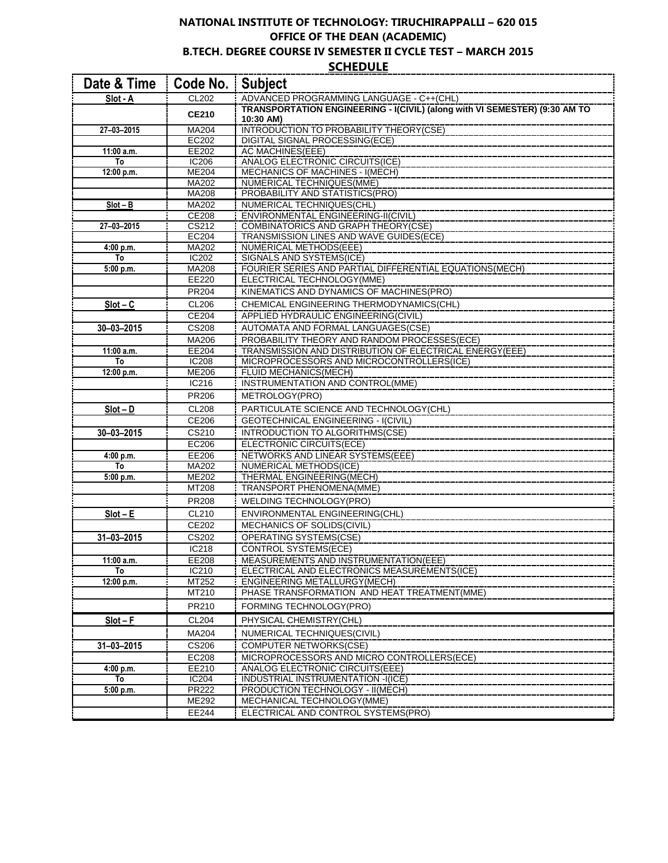#### **NATIONAL INSTITUTE OF TECHNOLOGY: TIRUCHIRAPPALLI – 620 015 OFFICE OF THE DEAN (ACADEMIC) B.TECH. DEGREE COURSE IV SEMESTER II CYCLE TEST – MARCH 2015 SCHEDULE**

| Date & Time      | Code No.              | <b>Subject</b>                                                             |
|------------------|-----------------------|----------------------------------------------------------------------------|
| Slot - A         | CL202                 | ADVANCED PROGRAMMING LANGUAGE - C++(CHL)                                   |
|                  | <b>CE210</b>          | TRANSPORTATION ENGINEERING - I(CIVIL) (along with VI SEMESTER) (9:30 AM TO |
|                  |                       | 10:30 AM)                                                                  |
| $27 - 03 - 2015$ | MA204                 | <b>INTRODUCTION TO PROBABILITY THEORY(CSE)</b>                             |
|                  | EC202                 | <b>DIGITAL SIGNAL PROCESSING(ECE)</b>                                      |
| 11:00 a.m.       | EE202                 | AC MACHINES(EEE)<br><b>ANALOG ELECTRONIC CIRCUITS(ICE)</b>                 |
| To<br>12:00 p.m. | <b>IC206</b><br>ME204 | <b>MECHANICS OF MACHINES - I(MECH)</b>                                     |
|                  | MA202                 | NUMERICAL TECHNIQUES(MME)                                                  |
|                  | MA208                 | <b>PROBABILITY AND STATISTICS(PRO)</b>                                     |
| $Slot - B$       | MA202                 | NUMERICAL TECHNIQUES(CHL)                                                  |
|                  | <b>CE208</b>          | <b>ENVIRONMENTAL ENGINEERING-II(CIVIL)</b>                                 |
| 27-03-2015       | CS212                 | <b>COMBINATORICS AND GRAPH THEORY(CSE)</b>                                 |
|                  | EC204                 | TRANSMISSION LINES AND WAVE GUIDES(ECE)                                    |
| 4:00 p.m.        | MA202                 | NUMERICAL METHODS(EEE)                                                     |
| To               | IC202                 | <b>SIGNALS AND SYSTEMS(ICE)</b>                                            |
| 5:00 p.m.        | MA208                 | FOURIER SERIES AND PARTIAL DIFFERENTIAL EQUATIONS (MECH)                   |
|                  | EE220                 | ELECTRICAL TECHNOLOGY(MME)                                                 |
|                  | PR204                 | KINEMATICS AND DYNAMICS OF MACHINES(PRO)                                   |
| $Slot - C$       | <b>CL206</b>          | CHEMICAL ENGINEERING THERMODYNAMICS(CHL)                                   |
|                  | CE204                 | APPLIED HYDRAULIC ENGINEERING(CIVIL)                                       |
| $30 - 03 - 2015$ | <b>CS208</b>          | AUTOMATA AND FORMAL LANGUAGES(CSE)                                         |
|                  | MA206                 | PROBABILITY THEORY AND RANDOM PROCESSES(ECE)                               |
| 11:00 a.m.       | EE204                 | TRANSMISSION AND DISTRIBUTION OF ELECTRICAL ENERGY(EEE)                    |
| To               | <b>IC208</b>          | MICROPROCESSORS AND MICROCONTROLLERS(ICE)                                  |
| 12:00 p.m.       | <b>ME206</b>          | FLUID MECHANICS(MECH)                                                      |
|                  | IC216                 | INSTRUMENTATION AND CONTROL(MME)                                           |
|                  | <b>PR206</b>          | METROLOGY(PRO)                                                             |
| $Slot - D$       | <b>CL208</b>          | PARTICULATE SCIENCE AND TECHNOLOGY(CHL)                                    |
|                  | CE206                 | <b>GEOTECHNICAL ENGINEERING - I(CIVIL)</b>                                 |
| $30 - 03 - 2015$ | CS210                 | INTRODUCTION TO ALGORITHMS(CSE)                                            |
|                  | EC206                 | ELECTRONIC CIRCUITS(ECE)                                                   |
| 4:00 p.m.        | EE206                 | NETWORKS AND LINEAR SYSTEMS(EEE)                                           |
| To               | MA202                 | NUMERICAL METHODS(ICE)                                                     |
| 5:00 p.m.        | ME202                 | THERMAL ENGINEERING(MECH)                                                  |
|                  | MT208                 | TRANSPORT PHENOMENA(MME)                                                   |
|                  | <b>PR208</b>          | WELDING TECHNOLOGY(PRO)                                                    |
| $Slot - E$       | CL210                 | ENVIRONMENTAL ENGINEERING(CHL)                                             |
|                  | CE202                 | MECHANICS OF SOLIDS(CIVIL)                                                 |
| $31 - 03 - 2015$ | CS202                 | OPERATING SYSTEMS(CSE)                                                     |
|                  | IC218                 | CONTROL SYSTEMS(ECE)                                                       |
| 11:00 a.m.       | EE208                 | MEASUREMENTS AND INSTRUMENTATION(EEE)                                      |
| To               | IC210                 | ELECTRICAL AND ELECTRONICS MEASUREMENTS(ICE)                               |
| 12:00 p.m.       | MT252                 | ENGINEERING METALLURGY(MECH)                                               |
|                  | MT210                 | PHASE TRANSFORMATION AND HEAT TREATMENT(MME)                               |
|                  | PR210                 | FORMING TECHNOLOGY(PRO)                                                    |
| $Slot - F$       | <b>CL204</b>          | PHYSICAL CHEMISTRY(CHL)                                                    |
|                  | MA204                 | NUMERICAL TECHNIQUES(CIVIL)                                                |
| $31 - 03 - 2015$ | CS206                 | <b>COMPUTER NETWORKS(CSE)</b>                                              |
|                  | EC208                 | MICROPROCESSORS AND MICRO CONTROLLERS(ECE)                                 |
| 4:00 p.m.        | EE210                 | ANALOG ELECTRONIC CIRCUITS(EEE)                                            |
| To               | IC204                 | INDUSTRIAL INSTRUMENTATION -I(ICE)                                         |
| 5:00 p.m.        | <b>PR222</b>          | PRODUCTION TECHNOLOGY - II(MECH)                                           |
|                  | ME292                 | MECHANICAL TECHNOLOGY(MME)                                                 |
|                  | EE244                 | ELECTRICAL AND CONTROL SYSTEMS(PRO)                                        |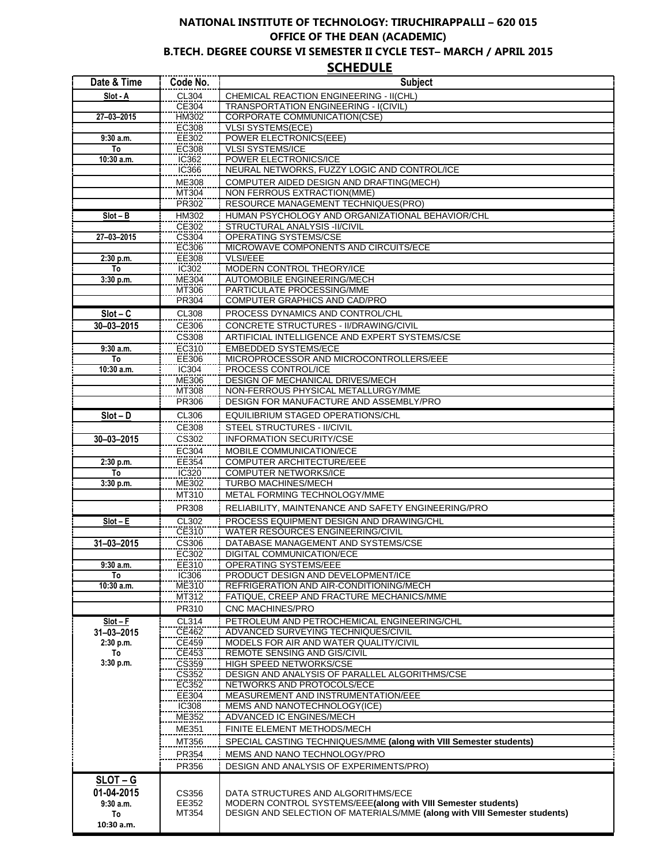## **NATIONAL INSTITUTE OF TECHNOLOGY: TIRUCHIRAPPALLI – 620 015 OFFICE OF THE DEAN (ACADEMIC) B.TECH. DEGREE COURSE VI SEMESTER II CYCLE TEST– MARCH / APRIL 2015**

**SCHEDULE**

| Date & Time      | Code No.              | <b>Subject</b>                                                                       |
|------------------|-----------------------|--------------------------------------------------------------------------------------|
| Slot - A         | CL304                 | CHEMICAL REACTION ENGINEERING - II(CHL)                                              |
|                  | CE304                 | <b>TRANSPORTATION ENGINEERING - I(CIVIL)</b>                                         |
| 27-03-2015       | <b>HM302</b>          | <b>CORPORATE COMMUNICATION(CSE)</b>                                                  |
| 9:30a.m.         | EC308<br>EE302        | <b>VLSI SYSTEMS(ECE)</b><br>POWER ELECTRONICS(EEE)                                   |
| To               | <b>EC308</b>          | <b>VLSI SYSTEMS/ICE</b>                                                              |
| $10:30$ a.m.     | IC362                 | POWER ELECTRONICS/ICE                                                                |
|                  | IC366                 | NEURAL NETWORKS, FUZZY LOGIC AND CONTROL/ICE                                         |
|                  | <b>ME308</b>          | COMPUTER AIDED DESIGN AND DRAFTING(MECH)                                             |
|                  | MT304                 | NON FERROUS EXTRACTION(MME)                                                          |
|                  | PR302                 | RESOURCE MANAGEMENT TECHNIQUES(PRO)                                                  |
| $Slot - B$       | HM302                 | HUMAN PSYCHOLOGY AND ORGANIZATIONAL BEHAVIOR/CHL                                     |
| 27-03-2015       | <b>CE302</b>          | STRUCTURAL ANALYSIS -II/CIVIL                                                        |
|                  | CS304<br>EC306        | OPERATING SYSTEMS/CSE<br>MICROWAVE COMPONENTS AND CIRCUITS/ECE                       |
| 2:30 p.m.        | EE308                 | <b>VLSI/EEE</b>                                                                      |
| To               | IC302                 | MODERN CONTROL THEORY/ICE                                                            |
| 3:30 p.m.        | ME304                 | AUTOMOBILE ENGINEERING/MECH                                                          |
|                  | MT306                 | PARTICULATE PROCESSING/MME                                                           |
|                  | PR304                 | <b>COMPUTER GRAPHICS AND CAD/PRO</b>                                                 |
| $Slot - C$       | CL308                 | PROCESS DYNAMICS AND CONTROL/CHL                                                     |
| $30 - 03 - 2015$ | CE306                 | CONCRETE STRUCTURES - II/DRAWING/CIVIL                                               |
|                  | CS308                 | ARTIFICIAL INTELLIGENCE AND EXPERT SYSTEMS/CSE                                       |
| 9:30a.m.<br>To   | EC310<br>EE306        | <b>EMBEDDED SYSTEMS/ECE</b><br>MICROPROCESSOR AND MICROCONTROLLERS/EEE               |
| $10:30$ a.m.     | IC304                 | PROCESS CONTROL/ICE                                                                  |
|                  | <b>ME306</b>          | DESIGN OF MECHANICAL DRIVES/MECH                                                     |
|                  | <b>MT308</b>          | NON-FERROUS PHYSICAL METALLURGY/MME                                                  |
|                  | PR306                 | DESIGN FOR MANUFACTURE AND ASSEMBLY/PRO                                              |
| $Slot - D$       | <b>CL306</b>          | EQUILIBRIUM STAGED OPERATIONS/CHL                                                    |
|                  | CE308                 | STEEL STRUCTURES - II/CIVIL                                                          |
| $30 - 03 - 2015$ | CS302                 | <b>INFORMATION SECURITY/CSE</b>                                                      |
|                  | EC304                 | MOBILE COMMUNICATION/ECE                                                             |
| 2:30 p.m.        | EE354                 | <b>COMPUTER ARCHITECTURE/EEE</b>                                                     |
| To<br>3:30 p.m.  | IC320<br>ME302        | <b>COMPUTER NETWORKS/ICE</b><br><b>TURBO MACHINES/MECH</b>                           |
|                  | MT310                 | METAL FORMING TECHNOLOGY/MME                                                         |
|                  | PR308                 | RELIABILITY, MAINTENANCE AND SAFETY ENGINEERING/PRO                                  |
| $Slot - E$       | CL302                 | PROCESS EQUIPMENT DESIGN AND DRAWING/CHL                                             |
|                  | CE310                 | WATER RESOURCES ENGINEERING/CIVIL                                                    |
| $31 - 03 - 2015$ | CS306                 | DATABASE MANAGEMENT AND SYSTEMS/CSE                                                  |
|                  | EC302                 | DIGITAL COMMUNICATION/ECE                                                            |
| $9:30$ a.m.      | ᄇᆮ310                 | <b>OPERATING SYSTEMS/EEE</b>                                                         |
| To               | IC306                 | PRODUCT DESIGN AND DEVELOPMENT/ICE                                                   |
| 10:30 a.m.       | ME310                 | REFRIGERATION AND AIR-CONDITIONING/MECH<br>FATIQUE, CREEP AND FRACTURE MECHANICS/MME |
|                  | MT312<br>PR310        | CNC MACHINES/PRO                                                                     |
| $Slot - F$       | <b>CL314</b>          | PETROLEUM AND PETROCHEMICAL ENGINEERING/CHL                                          |
| 31-03-2015       | CE462                 | ADVANCED SURVEYING TECHNIQUES/CIVIL                                                  |
| 2:30 p.m.        | CE459                 | MODELS FOR AIR AND WATER QUALITY/CIVIL                                               |
| To               | CE453                 | REMOTE SENSING AND GIS/CIVIL                                                         |
| 3:30 p.m.        | CS359                 | HIGH SPEED NETWORKS/CSE                                                              |
|                  | CS352                 | DESIGN AND ANALYSIS OF PARALLEL ALGORITHMS/CSE<br>NETWORKS AND PROTOCOLS/ECE         |
|                  | <b>EC352</b><br>EE304 | MEASUREMENT AND INSTRUMENTATION/EEE                                                  |
|                  | <b>IC308</b>          | MEMS AND NANOTECHNOLOGY(ICE)                                                         |
|                  | ME352                 | ADVANCED IC ENGINES/MECH                                                             |
|                  | ME351                 | FINITE ELEMENT METHODS/MECH                                                          |
|                  | MT356                 | SPECIAL CASTING TECHNIQUES/MME (along with VIII Semester students)                   |
|                  | PR354                 | MEMS AND NANO TECHNOLOGY/PRO                                                         |
|                  | PR356                 | DESIGN AND ANALYSIS OF EXPERIMENTS/PRO)                                              |
| $SLOT - G$       |                       |                                                                                      |
| 01-04-2015       | CS356                 | DATA STRUCTURES AND ALGORITHMS/ECE                                                   |
| 9:30a.m.         | EE352                 | MODERN CONTROL SYSTEMS/EEE(along with VIII Semester students)                        |
| To               | MT354                 | DESIGN AND SELECTION OF MATERIALS/MME (along with VIII Semester students)            |
| 10:30 a.m.       |                       |                                                                                      |